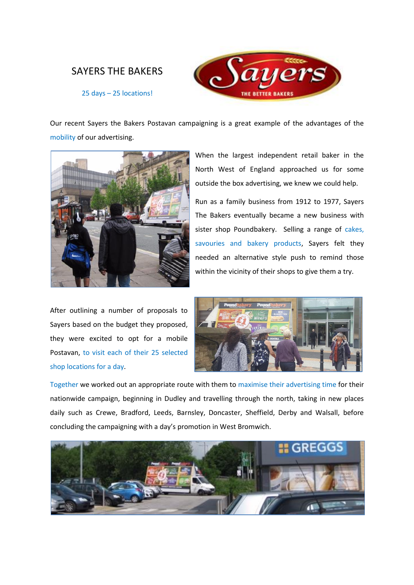## SAYERS THE BAKERS



25 days – 25 locations!

Our recent Sayers the Bakers Postavan campaigning is a great example of the advantages of the mobility of our advertising.



After outlining a number of proposals to Sayers based on the budget they proposed, they were excited to opt for a mobile Postavan, to visit each of their 25 selected shop locations for a day.

When the largest independent retail baker in the North West of England approached us for some outside the box advertising, we knew we could help.

Run as a family business from 1912 to 1977, Sayers The Bakers eventually became a new business with sister shop Poundbakery. Selling a range of cakes, savouries and bakery products, Sayers felt they needed an alternative style push to remind those within the vicinity of their shops to give them a try.



Together we worked out an appropriate route with them to maximise their advertising time for their nationwide campaign, beginning in Dudley and travelling through the north, taking in new places daily such as Crewe, Bradford, Leeds, Barnsley, Doncaster, Sheffield, Derby and Walsall, before concluding the campaigning with a day's promotion in West Bromwich.